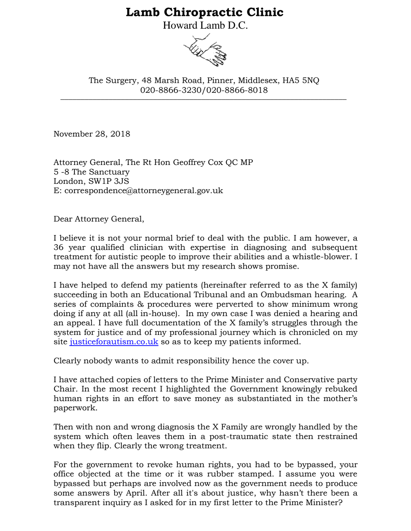## **Lamb Chiropractic Clinic**

Howard Lamb D.C.



\_\_\_\_\_\_\_\_\_\_\_\_\_\_\_\_\_\_\_\_\_\_\_\_\_\_\_\_\_\_\_\_\_\_\_\_\_\_\_\_\_\_\_\_\_\_\_\_\_\_\_\_\_\_\_\_\_\_\_\_\_\_\_\_\_\_\_\_\_\_\_ The Surgery, 48 Marsh Road, Pinner, Middlesex, HA5 5NQ 020-8866-3230/020-8866-8018

November 28, 2018

Attorney General, The Rt Hon Geoffrey Cox QC MP 5 -8 The Sanctuary London, SW1P 3JS E: correspondence@attorneygeneral.gov.uk

Dear Attorney General,

I believe it is not your normal brief to deal with the public. I am however, a 36 year qualified clinician with expertise in diagnosing and subsequent treatment for autistic people to improve their abilities and a whistle-blower. I may not have all the answers but my research shows promise.

I have helped to defend my patients (hereinafter referred to as the X family) succeeding in both an Educational Tribunal and an Ombudsman hearing. A series of complaints & procedures were perverted to show minimum wrong doing if any at all (all in-house). In my own case I was denied a hearing and an appeal. I have full documentation of the X family's struggles through the system for justice and of my professional journey which is chronicled on my site [justiceforautism.co.uk](http://www.justiceforautism.co.uk/) so as to keep my patients informed.

Clearly nobody wants to admit responsibility hence the cover up.

I have attached copies of letters to the Prime Minister and Conservative party Chair. In the most recent I highlighted the Government knowingly rebuked human rights in an effort to save money as substantiated in the mother's paperwork.

Then with non and wrong diagnosis the X Family are wrongly handled by the system which often leaves them in a post-traumatic state then restrained when they flip. Clearly the wrong treatment.

For the government to revoke human rights, you had to be bypassed, your office objected at the time or it was rubber stamped. I assume you were bypassed but perhaps are involved now as the government needs to produce some answers by April. After all it's about justice, why hasn't there been a transparent inquiry as I asked for in my first letter to the Prime Minister?